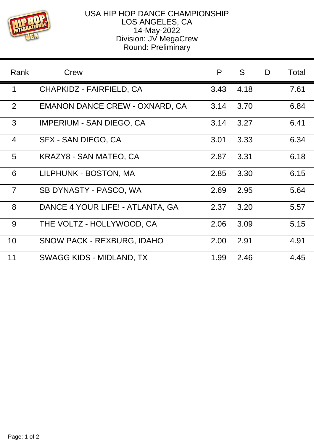

## USA HIP HOP DANCE CHAMPIONSHIP LOS ANGELES, CA 14-May-2022 Division: JV MegaCrew Round: Preliminary

| Rank           | Crew                                  | P    | S.   | D | Total |
|----------------|---------------------------------------|------|------|---|-------|
| 1              | CHAPKIDZ - FAIRFIELD, CA              | 3.43 | 4.18 |   | 7.61  |
| 2              | <b>EMANON DANCE CREW - OXNARD, CA</b> | 3.14 | 3.70 |   | 6.84  |
| 3              | <b>IMPERIUM - SAN DIEGO, CA</b>       | 3.14 | 3.27 |   | 6.41  |
| $\overline{4}$ | SFX - SAN DIEGO, CA                   | 3.01 | 3.33 |   | 6.34  |
| 5              | KRAZY8 - SAN MATEO, CA                | 2.87 | 3.31 |   | 6.18  |
| 6              | LILPHUNK - BOSTON, MA                 | 2.85 | 3.30 |   | 6.15  |
| $\overline{7}$ | SB DYNASTY - PASCO, WA                | 2.69 | 2.95 |   | 5.64  |
| 8              | DANCE 4 YOUR LIFE! - ATLANTA, GA      | 2.37 | 3.20 |   | 5.57  |
| 9              | THE VOLTZ - HOLLYWOOD, CA             | 2.06 | 3.09 |   | 5.15  |
| 10             | <b>SNOW PACK - REXBURG, IDAHO</b>     | 2.00 | 2.91 |   | 4.91  |
| 11             | SWAGG KIDS - MIDLAND, TX              | 1.99 | 2.46 |   | 4.45  |